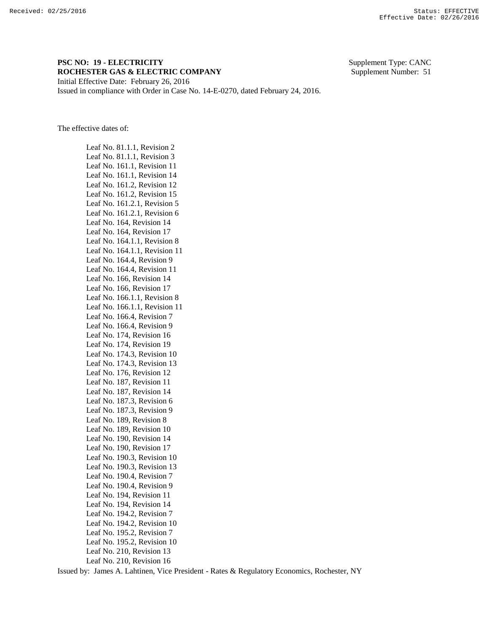## **PSC NO: 19 - ELECTRICITY** Supplement Type: CANC **ROCHESTER GAS & ELECTRIC COMPANY** Supplement Number: 51 Initial Effective Date: February 26, 2016

Issued in compliance with Order in Case No. 14-E-0270, dated February 24, 2016.

The effective dates of:

Leaf No. 81.1.1, Revision 2 Leaf No. 81.1.1, Revision 3 Leaf No. 161.1, Revision 11 Leaf No. 161.1, Revision 14 Leaf No. 161.2, Revision 12 Leaf No. 161.2, Revision 15 Leaf No. 161.2.1, Revision 5 Leaf No. 161.2.1, Revision 6 Leaf No. 164, Revision 14 Leaf No. 164, Revision 17 Leaf No. 164.1.1, Revision 8 Leaf No. 164.1.1, Revision 11 Leaf No. 164.4, Revision 9 Leaf No. 164.4, Revision 11 Leaf No. 166, Revision 14 Leaf No. 166, Revision 17 Leaf No. 166.1.1, Revision 8 Leaf No. 166.1.1, Revision 11 Leaf No. 166.4, Revision 7 Leaf No. 166.4, Revision 9 Leaf No. 174, Revision 16 Leaf No. 174, Revision 19 Leaf No. 174.3, Revision 10 Leaf No. 174.3, Revision 13 Leaf No. 176, Revision 12 Leaf No. 187, Revision 11 Leaf No. 187, Revision 14 Leaf No. 187.3, Revision 6 Leaf No. 187.3, Revision 9 Leaf No. 189, Revision 8 Leaf No. 189, Revision 10 Leaf No. 190, Revision 14 Leaf No. 190, Revision 17 Leaf No. 190.3, Revision 10 Leaf No. 190.3, Revision 13 Leaf No. 190.4, Revision 7 Leaf No. 190.4, Revision 9 Leaf No. 194, Revision 11 Leaf No. 194, Revision 14 Leaf No. 194.2, Revision 7 Leaf No. 194.2, Revision 10 Leaf No. 195.2, Revision 7 Leaf No. 195.2, Revision 10 Leaf No. 210, Revision 13 Leaf No. 210, Revision 16

Issued by: James A. Lahtinen, Vice President - Rates & Regulatory Economics, Rochester, NY